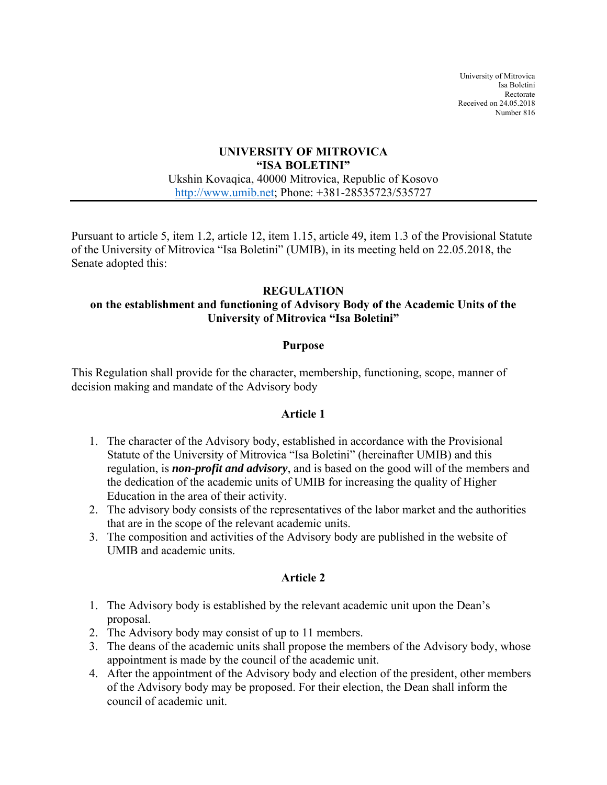University of Mitrovica Isa Boletini Rectorate Received on 24.05.2018 Number 816

#### **UNIVERSITY OF MITROVICA "ISA BOLETINI"**  Ukshin Kovaqica, 40000 Mitrovica, Republic of Kosovo http://www.umib.net; Phone: +381-28535723/535727

Pursuant to article 5, item 1.2, article 12, item 1.15, article 49, item 1.3 of the Provisional Statute of the University of Mitrovica "Isa Boletini" (UMIB), in its meeting held on 22.05.2018, the Senate adopted this:

#### **REGULATION**

#### **on the establishment and functioning of Advisory Body of the Academic Units of the University of Mitrovica "Isa Boletini"**

#### **Purpose**

This Regulation shall provide for the character, membership, functioning, scope, manner of decision making and mandate of the Advisory body

#### **Article 1**

- 1. The character of the Advisory body, established in accordance with the Provisional Statute of the University of Mitrovica "Isa Boletini" (hereinafter UMIB) and this regulation, is *non-profit and advisory*, and is based on the good will of the members and the dedication of the academic units of UMIB for increasing the quality of Higher Education in the area of their activity.
- 2. The advisory body consists of the representatives of the labor market and the authorities that are in the scope of the relevant academic units.
- 3. The composition and activities of the Advisory body are published in the website of UMIB and academic units.

#### **Article 2**

- 1. The Advisory body is established by the relevant academic unit upon the Dean's proposal.
- 2. The Advisory body may consist of up to 11 members.
- 3. The deans of the academic units shall propose the members of the Advisory body, whose appointment is made by the council of the academic unit.
- 4. After the appointment of the Advisory body and election of the president, other members of the Advisory body may be proposed. For their election, the Dean shall inform the council of academic unit.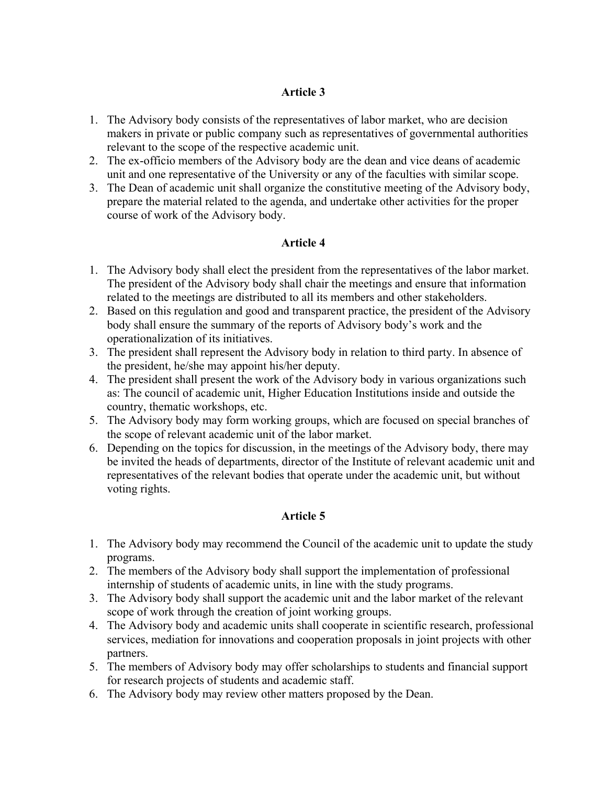# **Article 3**

- 1. The Advisory body consists of the representatives of labor market, who are decision makers in private or public company such as representatives of governmental authorities relevant to the scope of the respective academic unit.
- 2. The ex-officio members of the Advisory body are the dean and vice deans of academic unit and one representative of the University or any of the faculties with similar scope.
- 3. The Dean of academic unit shall organize the constitutive meeting of the Advisory body, prepare the material related to the agenda, and undertake other activities for the proper course of work of the Advisory body.

# **Article 4**

- 1. The Advisory body shall elect the president from the representatives of the labor market. The president of the Advisory body shall chair the meetings and ensure that information related to the meetings are distributed to all its members and other stakeholders.
- 2. Based on this regulation and good and transparent practice, the president of the Advisory body shall ensure the summary of the reports of Advisory body's work and the operationalization of its initiatives.
- 3. The president shall represent the Advisory body in relation to third party. In absence of the president, he/she may appoint his/her deputy.
- 4. The president shall present the work of the Advisory body in various organizations such as: The council of academic unit, Higher Education Institutions inside and outside the country, thematic workshops, etc.
- 5. The Advisory body may form working groups, which are focused on special branches of the scope of relevant academic unit of the labor market.
- 6. Depending on the topics for discussion, in the meetings of the Advisory body, there may be invited the heads of departments, director of the Institute of relevant academic unit and representatives of the relevant bodies that operate under the academic unit, but without voting rights.

# **Article 5**

- 1. The Advisory body may recommend the Council of the academic unit to update the study programs.
- 2. The members of the Advisory body shall support the implementation of professional internship of students of academic units, in line with the study programs.
- 3. The Advisory body shall support the academic unit and the labor market of the relevant scope of work through the creation of joint working groups.
- 4. The Advisory body and academic units shall cooperate in scientific research, professional services, mediation for innovations and cooperation proposals in joint projects with other partners.
- 5. The members of Advisory body may offer scholarships to students and financial support for research projects of students and academic staff.
- 6. The Advisory body may review other matters proposed by the Dean.